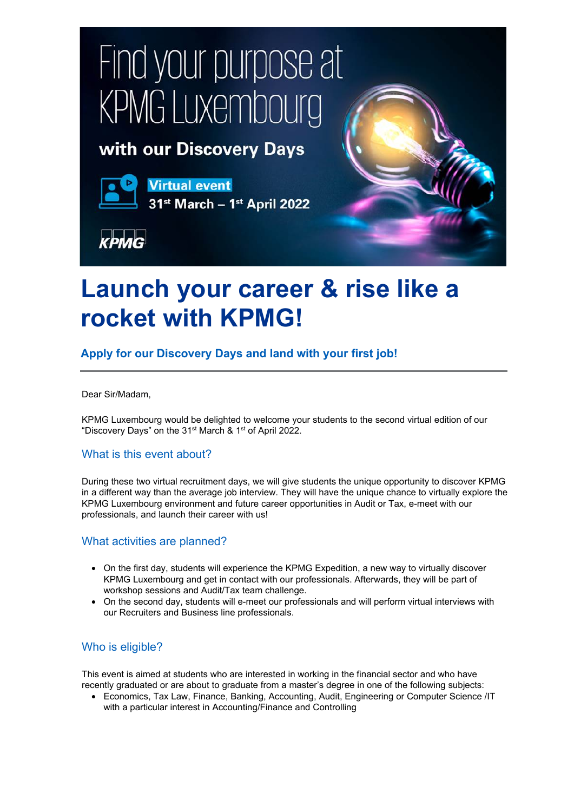# Find your purpose at **KPMG Luxembourg**

## with our Discovery Days



**Virtual event** 



31st March - 1st April 2022

# **Launch your career & rise like a rocket with KPMG!**

## **Apply for our Discovery Days and land with your first job!**

Dear Sir/Madam,

KPMG Luxembourg would be delighted to welcome your students to the second virtual edition of our "Discovery Days" on the 31<sup>st</sup> March & 1<sup>st</sup> of April 2022.

### What is this event about?

During these two virtual recruitment days, we will give students the unique opportunity to discover KPMG in a different way than the average job interview. They will have the unique chance to virtually explore the KPMG Luxembourg environment and future career opportunities in Audit or Tax, e-meet with our professionals, and launch their career with us!

#### What activities are planned?

- On the first day, students will experience the KPMG Expedition, a new way to virtually discover KPMG Luxembourg and get in contact with our professionals. Afterwards, they will be part of workshop sessions and Audit/Tax team challenge.
- On the second day, students will e-meet our professionals and will perform virtual interviews with our Recruiters and Business line professionals.

#### Who is eligible?

This event is aimed at students who are interested in working in the financial sector and who have recently graduated or are about to graduate from a master's degree in one of the following subjects:

• Economics, Tax Law, Finance, Banking, Accounting, Audit, Engineering or Computer Science /IT with a particular interest in Accounting/Finance and Controlling